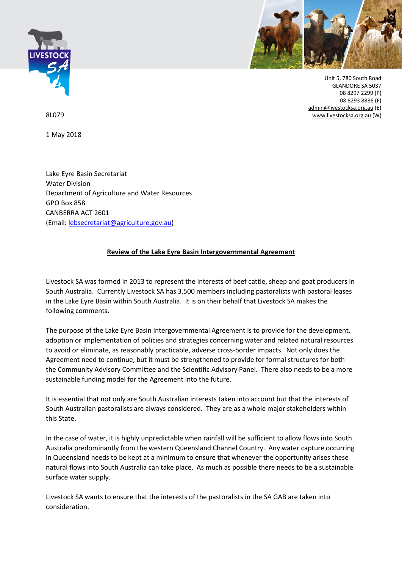



Unit 5, 780 South Road GLANDORE SA 5037 08 8297 2299 (P) 08 8293 8886 (F) [admin@livestocksa.org.au](mailto:admin@livestocksa.org.au) (E) [www.livestocksa.org.au](http://www.livestocksa.org.au/) (W)

8L079

1 May 2018

Lake Eyre Basin Secretariat Water Division Department of Agriculture and Water Resources GPO Box 858 CANBERRA ACT 2601 (Email: [lebsecretariat@agriculture.gov.au\)](mailto:lebsecretariat@agriculture.gov.au)

## **Review of the Lake Eyre Basin [Intergovernmental](http://agriculture.gov.au/water/national/lake-eyre-basin/public-consultation-second-review-lebia) Agreement**

Livestock SA was formed in 2013 to represent the interests of beef cattle, sheep and goat producers in South Australia. Currently Livestock SA has 3,500 members including pastoralists with pastoral leases in the Lake Eyre Basin within South Australia. It is on their behalf that Livestock SA makes the following comments.

The purpose of the Lake Eyre Basin Intergovernmental Agreement is to provide for the development, adoption or implementation of policies and strategies concerning water and related natural resources to avoid or eliminate, as reasonably practicable, adverse cross-border impacts. Not only does the Agreement need to continue, but it must be strengthened to provide for formal structures for both the Community Advisory Committee and the Scientific Advisory Panel. There also needs to be a more sustainable funding model for the Agreement into the future.

It is essential that not only are South Australian interests taken into account but that the interests of South Australian pastoralists are always considered. They are as a whole major stakeholders within this State.

In the case of water, it is highly unpredictable when rainfall will be sufficient to allow flows into South Australia predominantly from the western Queensland Channel Country. Any water capture occurring in Queensland needs to be kept at a minimum to ensure that whenever the opportunity arises these natural flows into South Australia can take place. As much as possible there needs to be a sustainable surface water supply.

Livestock SA wants to ensure that the interests of the pastoralists in the SA GAB are taken into consideration.